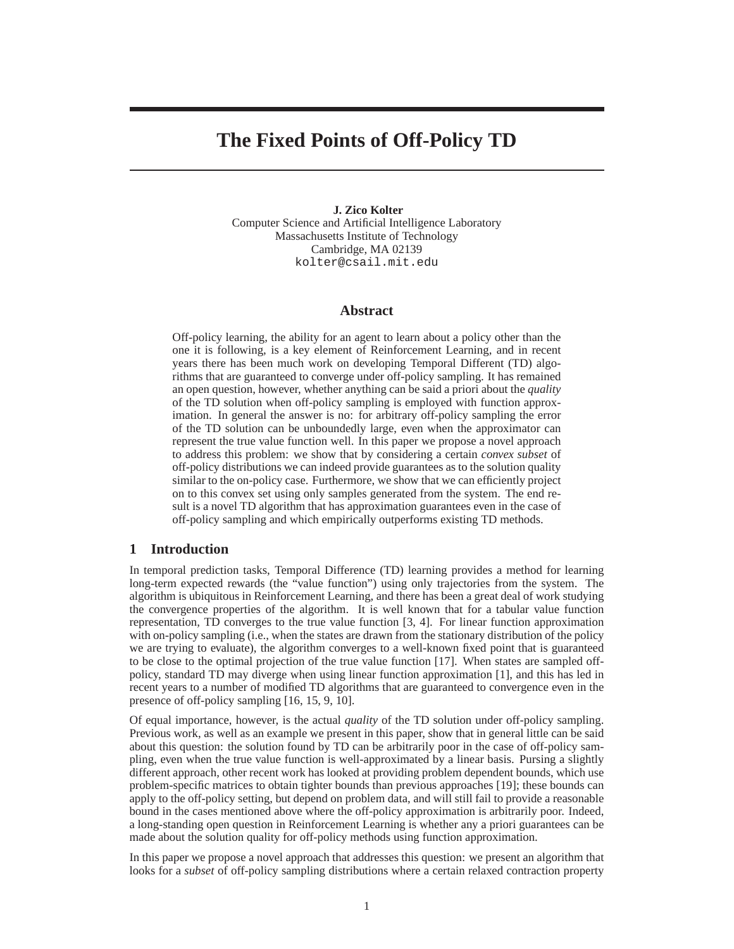# **The Fixed Points of Off-Policy TD**

#### **J. Zico Kolter**

Computer Science and Artificial Intelligence Laboratory Massachusetts Institute of Technology Cambridge, MA 02139 kolter@csail.mit.edu

# **Abstract**

Off-policy learning, the ability for an agent to learn about a policy other than the one it is following, is a key element of Reinforcement Learning, and in recent years there has been much work on developing Temporal Different (TD) algorithms that are guaranteed to converge under off-policy sampling. It has remained an open question, however, whether anything can be said a priori about the *quality* of the TD solution when off-policy sampling is employed with function approximation. In general the answer is no: for arbitrary off-policy sampling the error of the TD solution can be unboundedly large, even when the approximator can represent the true value function well. In this paper we propose a novel approach to address this problem: we show that by considering a certain *convex subset* of off-policy distributions we can indeed provide guarantees as to the solution quality similar to the on-policy case. Furthermore, we show that we can efficiently project on to this convex set using only samples generated from the system. The end result is a novel TD algorithm that has approximation guarantees even in the case of off-policy sampling and which empirically outperforms existing TD methods.

## **1 Introduction**

In temporal prediction tasks, Temporal Difference (TD) learning provides a method for learning long-term expected rewards (the "value function") using only trajectories from the system. The algorithm is ubiquitous in Reinforcement Learning, and there has been a great deal of work studying the convergence properties of the algorithm. It is well known that for a tabular value function representation, TD converges to the true value function [3, 4]. For linear function approximation with on-policy sampling (i.e., when the states are drawn from the stationary distribution of the policy we are trying to evaluate), the algorithm converges to a well-known fixed point that is guaranteed to be close to the optimal projection of the true value function [17]. When states are sampled offpolicy, standard TD may diverge when using linear function approximation [1], and this has led in recent years to a number of modified TD algorithms that are guaranteed to convergence even in the presence of off-policy sampling [16, 15, 9, 10].

Of equal importance, however, is the actual *quality* of the TD solution under off-policy sampling. Previous work, as well as an example we present in this paper, show that in general little can be said about this question: the solution found by TD can be arbitrarily poor in the case of off-policy sampling, even when the true value function is well-approximated by a linear basis. Pursing a slightly different approach, other recent work has looked at providing problem dependent bounds, which use problem-specific matrices to obtain tighter bounds than previous approaches [19]; these bounds can apply to the off-policy setting, but depend on problem data, and will still fail to provide a reasonable bound in the cases mentioned above where the off-policy approximation is arbitrarily poor. Indeed, a long-standing open question in Reinforcement Learning is whether any a priori guarantees can be made about the solution quality for off-policy methods using function approximation.

In this paper we propose a novel approach that addresses this question: we present an algorithm that looks for a *subset* of off-policy sampling distributions where a certain relaxed contraction property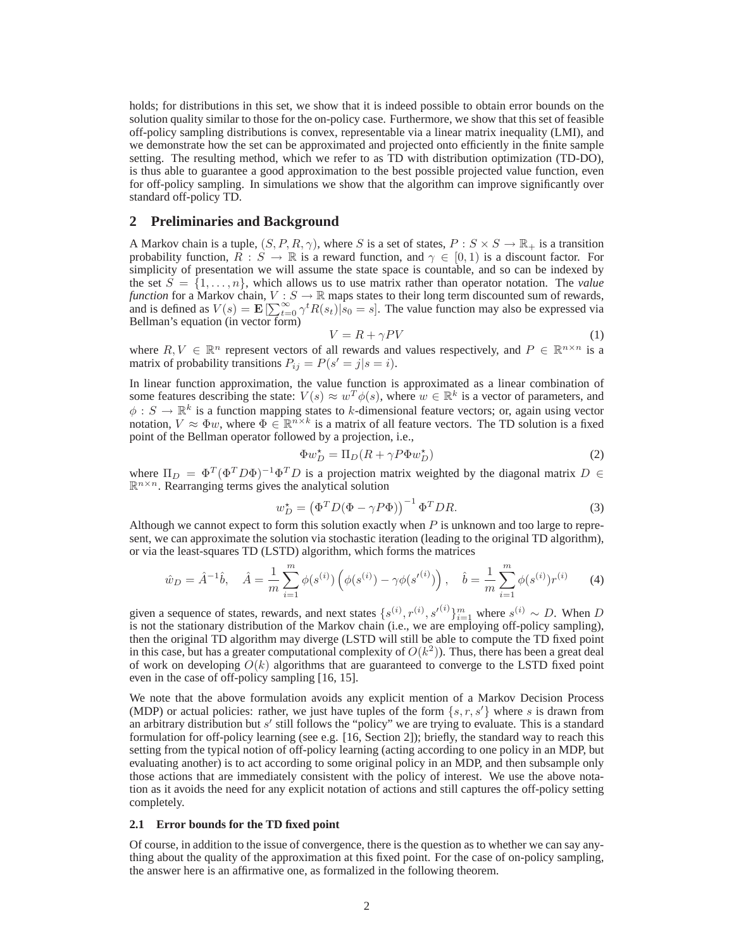holds; for distributions in this set, we show that it is indeed possible to obtain error bounds on the solution quality similar to those for the on-policy case. Furthermore, we show that this set of feasible off-policy sampling distributions is convex, representable via a linear matrix inequality (LMI), and we demonstrate how the set can be approximated and projected onto efficiently in the finite sample setting. The resulting method, which we refer to as TD with distribution optimization (TD-DO), is thus able to guarantee a good approximation to the best possible projected value function, even for off-policy sampling. In simulations we show that the algorithm can improve significantly over standard off-policy TD.

## **2 Preliminaries and Background**

A Markov chain is a tuple,  $(S, P, R, \gamma)$ , where S is a set of states,  $P : S \times S \to \mathbb{R}_+$  is a transition probability function,  $\overline{R}: S \to \mathbb{R}$  is a reward function, and  $\gamma \in [0,1)$  is a discount factor. For simplicity of presentation we will assume the state space is countable, and so can be indexed by the set  $S = \{1, \ldots, n\}$ , which allows us to use matrix rather than operator notation. The *value function* for a Markov chain,  $V : S \to \mathbb{R}$  maps states to their long term discounted sum of rewards, and is defined as  $V(s) = \mathbf{E} \left[ \sum_{t=0}^{\infty} \gamma^t R(s_t) \right] s_0 = s$ . The value function may also be expressed via Bellman's equation (in vector form)

$$
V = R + \gamma PV \tag{1}
$$

where  $R, V \in \mathbb{R}^n$  represent vectors of all rewards and values respectively, and  $P \in \mathbb{R}^{n \times n}$  is a matrix of probability transitions  $P_{ij} = P(s' = j | s = i)$ .

In linear function approximation, the value function is approximated as a linear combination of some features describing the state:  $V(s) \approx w^T \phi(s)$ , where  $w \in \mathbb{R}^k$  is a vector of parameters, and  $\phi: S \to \mathbb{R}^k$  is a function mapping states to k-dimensional feature vectors; or, again using vector notation,  $V \approx \Phi w$ , where  $\Phi \in \mathbb{R}^{n \times k}$  is a matrix of all feature vectors. The TD solution is a fixed point of the Bellman operator followed by a projection, i.e.,

$$
\Phi w_D^* = \Pi_D (R + \gamma P \Phi w_D^*)
$$
\n<sup>(2)</sup>

where  $\Pi_D = \Phi^T (\Phi^T D \Phi)^{-1} \Phi^T D$  is a projection matrix weighted by the diagonal matrix  $D \in$  $\mathbb{R}^{n \times n}$ . Rearranging terms gives the analytical solution

$$
w_D^* = \left(\Phi^T D(\Phi - \gamma P \Phi)\right)^{-1} \Phi^T D R. \tag{3}
$$

Although we cannot expect to form this solution exactly when  $P$  is unknown and too large to represent, we can approximate the solution via stochastic iteration (leading to the original TD algorithm), or via the least-squares TD (LSTD) algorithm, which forms the matrices

$$
\hat{w}_D = \hat{A}^{-1}\hat{b}, \quad \hat{A} = \frac{1}{m} \sum_{i=1}^m \phi(s^{(i)}) \left( \phi(s^{(i)}) - \gamma \phi(s'^{(i)}) \right), \quad \hat{b} = \frac{1}{m} \sum_{i=1}^m \phi(s^{(i)}) r^{(i)} \tag{4}
$$

given a sequence of states, rewards, and next states  $\{s^{(i)}, r^{(i)}, s'^{(i)}\}_{i=1}^m$  where  $s^{(i)} \sim D$ . When D is not the stationary distribution of the Markov chain (i.e., we are employing off-policy sampling), then the original TD algorithm may diverge (LSTD will still be able to compute the TD fixed point in this case, but has a greater computational complexity of  $O(k^2)$ ). Thus, there has been a great deal of work on developing  $O(k)$  algorithms that are guaranteed to converge to the LSTD fixed point even in the case of off-policy sampling [16, 15].

We note that the above formulation avoids any explicit mention of a Markov Decision Process (MDP) or actual policies: rather, we just have tuples of the form  $\{s, r, s'\}$  where s is drawn from an arbitrary distribution but  $s'$  still follows the "policy" we are trying to evaluate. This is a standard formulation for off-policy learning (see e.g. [16, Section 2]); briefly, the standard way to reach this setting from the typical notion of off-policy learning (acting according to one policy in an MDP, but evaluating another) is to act according to some original policy in an MDP, and then subsample only those actions that are immediately consistent with the policy of interest. We use the above notation as it avoids the need for any explicit notation of actions and still captures the off-policy setting completely.

#### **2.1 Error bounds for the TD fixed point**

Of course, in addition to the issue of convergence, there is the question as to whether we can say anything about the quality of the approximation at this fixed point. For the case of on-policy sampling, the answer here is an affirmative one, as formalized in the following theorem.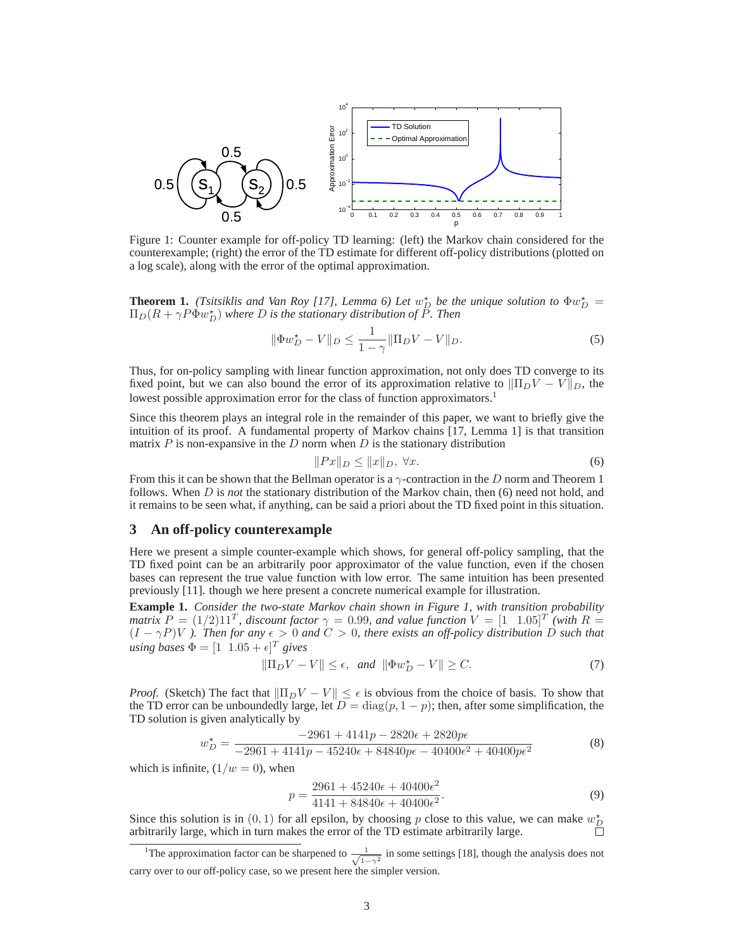

Figure 1: Counter example for off-policy TD learning: (left) the Markov chain considered for the counterexample; (right) the error of the TD estimate for different off-policy distributions (plotted on a log scale), along with the error of the optimal approximation.

**Theorem 1.** *(Tsitsiklis and Van Roy [17], Lemma 6) Let*  $w_D^*$  be the unique solution to  $\Phi w_D^* =$  $\Pi_D(R+\gamma P \Phi w_D^\star)$  where  $D$  is the stationary distribution of  $\tilde{P}$ . Then

$$
\|\Phi w_D^* - V\|_D \le \frac{1}{1 - \gamma} \|\Pi_D V - V\|_D. \tag{5}
$$

Thus, for on-policy sampling with linear function approximation, not only does TD converge to its fixed point, but we can also bound the error of its approximation relative to  $\|\Pi_D V - V\|_D$ , the lowest possible approximation error for the class of function approximators.<sup>1</sup>

Since this theorem plays an integral role in the remainder of this paper, we want to briefly give the intuition of its proof. A fundamental property of Markov chains [17, Lemma 1] is that transition matrix  $P$  is non-expansive in the  $D$  norm when  $D$  is the stationary distribution

$$
||Px||_D \le ||x||_D, \,\forall x. \tag{6}
$$

From this it can be shown that the Bellman operator is a  $\gamma$ -contraction in the D norm and Theorem 1 follows. When D is *not* the stationary distribution of the Markov chain, then (6) need not hold, and it remains to be seen what, if anything, can be said a priori about the TD fixed point in this situation.

## **3 An off-policy counterexample**

Here we present a simple counter-example which shows, for general off-policy sampling, that the TD fixed point can be an arbitrarily poor approximator of the value function, even if the chosen bases can represent the true value function with low error. The same intuition has been presented previously [11]. though we here present a concrete numerical example for illustration.

**Example 1.** *Consider the two-state Markov chain shown in Figure 1, with transition probability matrix*  $P = (1/2)11^T$ , discount factor  $\gamma = 0.99$ , and value function  $V = [1 \quad 1.05]^T$  (with  $R =$  $(I - \gamma P)V$  *). Then for any*  $\epsilon > 0$  *and*  $C > 0$ *, there exists an off-policy distribution* D *such that*  $using \textit{ bases } \Phi = [1 \ 1.05 + \epsilon]^T \textit{ gives}$ 

$$
\|\Pi_D V - V\| \le \epsilon, \quad \text{and} \quad \|\Phi w_D^{\star} - V\| \ge C. \tag{7}
$$

*Proof.* (Sketch) The fact that  $\|\Pi_D V - V\| \leq \epsilon$  is obvious from the choice of basis. To show that the TD error can be unboundedly large, let  $D = diag(p, 1 - p)$ ; then, after some simplification, the TD solution is given analytically by

$$
w_D^* = \frac{-2961 + 4141p - 2820\epsilon + 2820p\epsilon}{-2961 + 4141p - 45240\epsilon + 84840p\epsilon - 40400\epsilon^2 + 40400p\epsilon^2}
$$
(8)

which is infinite,  $(1/w = 0)$ , when

$$
p = \frac{2961 + 45240\epsilon + 40400\epsilon^2}{4141 + 84840\epsilon + 40400\epsilon^2}.
$$
\n(9)

Since this solution is in  $(0, 1)$  for all epsilon, by choosing p close to this value, we can make  $w_D^*$ arbitrarily large, which in turn makes the error of the TD estimate arbitrarily large.

<sup>&</sup>lt;sup>1</sup>The approximation factor can be sharpened to  $\frac{1}{\sqrt{1-\gamma^2}}$  in some settings [18], though the analysis does not carry over to our off-policy case, so we present here the simpler version.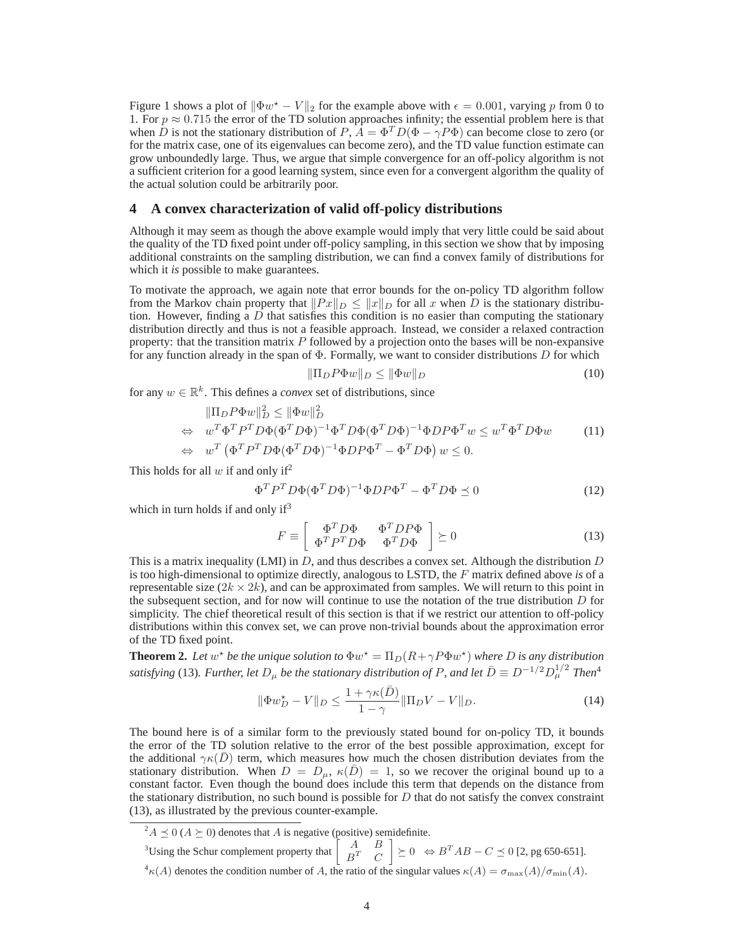Figure 1 shows a plot of  $\|\Phi w^* - V\|_2$  for the example above with  $\epsilon = 0.001$ , varying p from 0 to 1. For  $p \approx 0.715$  the error of the TD solution approaches infinity; the essential problem here is that when D is not the stationary distribution of P,  $\vec{A} = \Phi^T D(\Phi - \gamma P \Phi)$  can become close to zero (or for the matrix case, one of its eigenvalues can become zero), and the TD value function estimate can grow unboundedly large. Thus, we argue that simple convergence for an off-policy algorithm is not a sufficient criterion for a good learning system, since even for a convergent algorithm the quality of the actual solution could be arbitrarily poor.

### **4 A convex characterization of valid off-policy distributions**

Although it may seem as though the above example would imply that very little could be said about the quality of the TD fixed point under off-policy sampling, in this section we show that by imposing additional constraints on the sampling distribution, we can find a convex family of distributions for which it *is* possible to make guarantees.

To motivate the approach, we again note that error bounds for the on-policy TD algorithm follow from the Markov chain property that  $||Px||_D \le ||x||_D$  for all x when D is the stationary distribution. However, finding a  $D$  that satisfies this condition is no easier than computing the stationary distribution directly and thus is not a feasible approach. Instead, we consider a relaxed contraction property: that the transition matrix  $P$  followed by a projection onto the bases will be non-expansive for any function already in the span of  $\Phi$ . Formally, we want to consider distributions D for which

$$
\|\Pi_D P \Phi w\|_D \le \|\Phi w\|_D \tag{10}
$$

for any  $w \in \mathbb{R}^k$ . This defines a *convex* set of distributions, since

$$
\|\Pi_D P \Phi w\|_D^2 \le \|\Phi w\|_D^2
$$
  
\n
$$
\Leftrightarrow w^T \Phi^T P^T D \Phi (\Phi^T D \Phi)^{-1} \Phi^T D \Phi (\Phi^T D \Phi)^{-1} \Phi D P \Phi^T w \le w^T \Phi^T D \Phi w \qquad (11)
$$
  
\n
$$
\Leftrightarrow w^T (\Phi^T P^T D \Phi (\Phi^T D \Phi)^{-1} \Phi D P \Phi^T - \Phi^T D \Phi) w \le 0.
$$

This holds for all w if and only if<sup>2</sup>

$$
\Phi^T P^T D \Phi (\Phi^T D \Phi)^{-1} \Phi D P \Phi^T - \Phi^T D \Phi \preceq 0 \tag{12}
$$

which in turn holds if and only  $if<sup>3</sup>$ 

$$
F \equiv \left[ \begin{array}{cc} \Phi^T D \Phi & \Phi^T D P \Phi \\ \Phi^T P^T D \Phi & \Phi^T D \Phi \end{array} \right] \succeq 0 \tag{13}
$$

This is a matrix inequality (LMI) in  $D$ , and thus describes a convex set. Although the distribution  $D$ is too high-dimensional to optimize directly, analogous to LSTD, the F matrix defined above *is* of a representable size  $(2k \times 2k)$ , and can be approximated from samples. We will return to this point in the subsequent section, and for now will continue to use the notation of the true distribution  $D$  for simplicity. The chief theoretical result of this section is that if we restrict our attention to off-policy distributions within this convex set, we can prove non-trivial bounds about the approximation error of the TD fixed point.

**Theorem 2.** Let  $w^*$  be the unique solution to  $\Phi w^* = \Pi_D(R + \gamma P \Phi w^*)$  where D is any distribution satisfying (13). Further, let  $D_\mu$  be the stationary distribution of P, and let  $\bar{D} \equiv D^{-1/2}D_\mu^{1/2}$  Then<sup>4</sup>

$$
\|\Phi w_D^* - V\|_D \le \frac{1 + \gamma \kappa(\bar{D})}{1 - \gamma} \|\Pi_D V - V\|_D. \tag{14}
$$

The bound here is of a similar form to the previously stated bound for on-policy TD, it bounds the error of the TD solution relative to the error of the best possible approximation, except for the additional  $\gamma \kappa(\bar{D})$  term, which measures how much the chosen distribution deviates from the stationary distribution. When  $D = D_{\mu}$ ,  $\kappa(\bar{D}) = 1$ , so we recover the original bound up to a constant factor. Even though the bound does include this term that depends on the distance from the stationary distribution, no such bound is possible for  $D$  that do not satisfy the convex constraint (13), as illustrated by the previous counter-example.

<sup>3</sup>Using the Schur complement property that  $\begin{bmatrix} A & B \\ B^T & C \end{bmatrix}$  $B^T$  C  $\Big] \succeq 0 \ \Leftrightarrow B^T A B - C \preceq 0 \ [2, \text{pg } 650\text{-}651].$ <sup>4</sup> $\kappa(A)$  denotes the condition number of A, the ratio of the singular values  $\kappa(A) = \sigma_{\max}(A)/\sigma_{\min}(A)$ .

 ${}^2A \preceq 0$  ( $A \succeq 0$ ) denotes that A is negative (positive) semidefinite.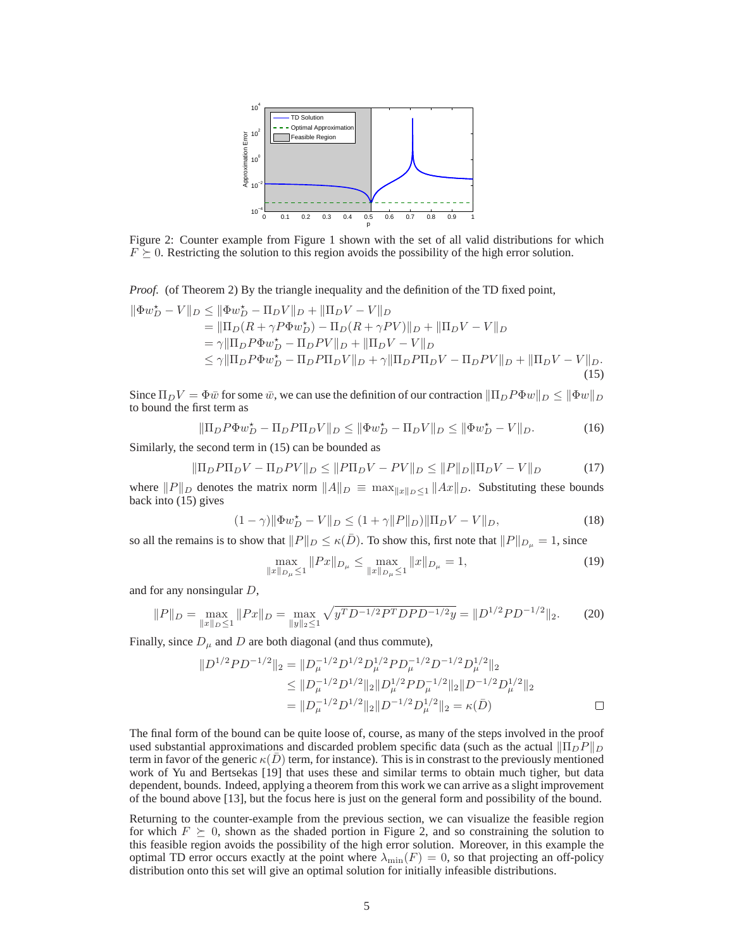

Figure 2: Counter example from Figure 1 shown with the set of all valid distributions for which  $F \succeq 0$ . Restricting the solution to this region avoids the possibility of the high error solution.

*Proof.* (of Theorem 2) By the triangle inequality and the definition of the TD fixed point,

$$
\|\Phi w_D^* - V\|_D \le \|\Phi w_D^* - \Pi_D V\|_D + \|\Pi_D V - V\|_D
$$
  
\n
$$
= \|\Pi_D (R + \gamma P \Phi w_D^*) - \Pi_D (R + \gamma P V)\|_D + \|\Pi_D V - V\|_D
$$
  
\n
$$
= \gamma \|\Pi_D P \Phi w_D^* - \Pi_D P V\|_D + \|\Pi_D V - V\|_D
$$
  
\n
$$
\le \gamma \|\Pi_D P \Phi w_D^* - \Pi_D P \Pi_D V\|_D + \gamma \|\Pi_D P \Pi_D V - \Pi_D P V\|_D + \|\Pi_D V - V\|_D.
$$
  
\n(15)

Since  $\Pi_D V = \Phi \bar{w}$  for some  $\bar{w}$ , we can use the definition of our contraction  $\|\Pi_D P \Phi w\|_D \le \|\Phi w\|_D$ to bound the first term as

$$
\|\Pi_D P \Phi w_D^* - \Pi_D P \Pi_D V\|_D \le \|\Phi w_D^* - \Pi_D V\|_D \le \|\Phi w_D^* - V\|_D. \tag{16}
$$

Similarly, the second term in (15) can be bounded as

$$
\|\Pi_D P \Pi_D V - \Pi_D P V\|_D \le \|P \Pi_D V - PV\|_D \le \|P\|_D \|\Pi_D V - V\|_D \tag{17}
$$

where  $||P||_D$  denotes the matrix norm  $||A||_D \equiv \max_{||x||_D \leq 1} ||Ax||_D$ . Substituting these bounds back into (15) gives

$$
(1 - \gamma) \|\Phi w_D^* - V\|_D \le (1 + \gamma \|P\|_D) \|\Pi_D V - V\|_D,\tag{18}
$$

so all the remains is to show that  $||P||_D \le \kappa(D)$ . To show this, first note that  $||P||_{D_\mu} = 1$ , since

$$
\max_{\|x\|_{D_{\mu}}\le 1} \|Px\|_{D_{\mu}} \le \max_{\|x\|_{D_{\mu}}\le 1} \|x\|_{D_{\mu}} = 1,
$$
\n(19)

and for any nonsingular D,

$$
||P||_D = \max_{||x||_D \le 1} ||Px||_D = \max_{||y||_2 \le 1} \sqrt{y^T D^{-1/2} P^T D P D^{-1/2}} y = ||D^{1/2} P D^{-1/2}||_2. \tag{20}
$$

Finally, since  $D_{\mu}$  and D are both diagonal (and thus commute),

$$
||D^{1/2}PD^{-1/2}||_2 = ||D_{\mu}^{-1/2}D^{1/2}D_{\mu}^{1/2}PD_{\mu}^{-1/2}D^{-1/2}D_{\mu}^{1/2}||_2
$$
  
\n
$$
\leq ||D_{\mu}^{-1/2}D^{1/2}||_2||D_{\mu}^{1/2}PD_{\mu}^{-1/2}||_2||D^{-1/2}D_{\mu}^{1/2}||_2
$$
  
\n
$$
= ||D_{\mu}^{-1/2}D^{1/2}||_2||D^{-1/2}D_{\mu}^{1/2}||_2 = \kappa(\bar{D})
$$

The final form of the bound can be quite loose of, course, as many of the steps involved in the proof used substantial approximations and discarded problem specific data (such as the actual  $\|\Pi_D P\|_D$ term in favor of the generic  $\kappa(\bar{D})$  term, for instance). This is in constrast to the previously mentioned work of Yu and Bertsekas [19] that uses these and similar terms to obtain much tigher, but data dependent, bounds. Indeed, applying a theorem from this work we can arrive as a slight improvement of the bound above [13], but the focus here is just on the general form and possibility of the bound.

Returning to the counter-example from the previous section, we can visualize the feasible region for which  $F \succeq 0$ , shown as the shaded portion in Figure 2, and so constraining the solution to this feasible region avoids the possibility of the high error solution. Moreover, in this example the optimal TD error occurs exactly at the point where  $\lambda_{\min}(F) = 0$ , so that projecting an off-policy distribution onto this set will give an optimal solution for initially infeasible distributions.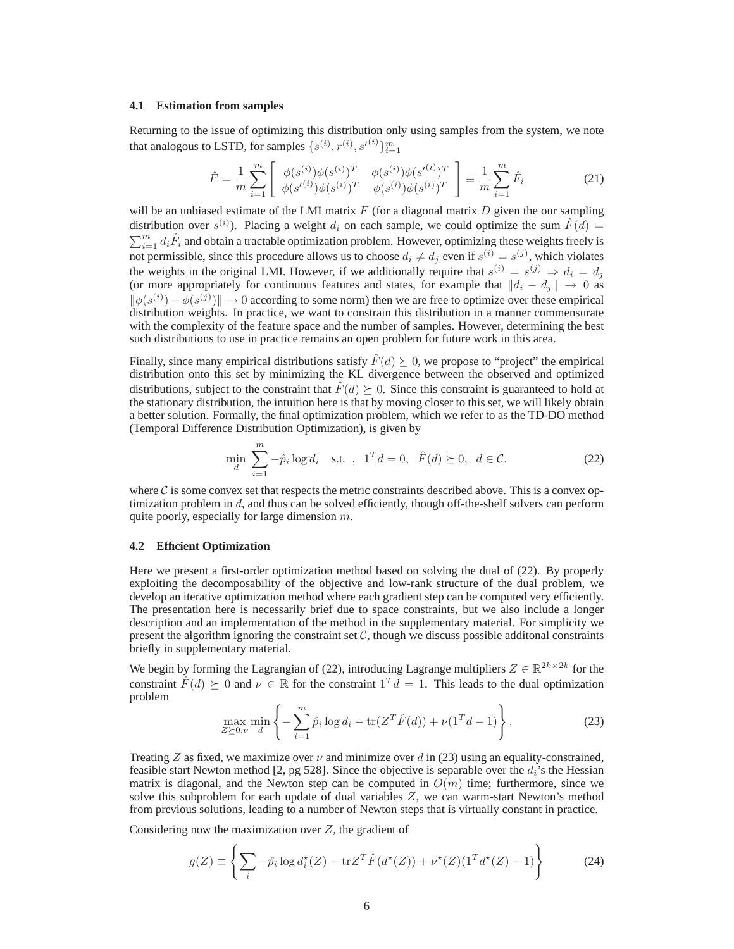#### **4.1 Estimation from samples**

Returning to the issue of optimizing this distribution only using samples from the system, we note that analogous to LSTD, for samples  $\{s^{(i)}, r^{(i)}, s'^{(i)}\}_{i=1}^m$ 

$$
\hat{F} = \frac{1}{m} \sum_{i=1}^{m} \left[ \begin{array}{cc} \phi(s^{(i)}) \phi(s^{(i)})^T & \phi(s^{(i)}) \phi(s'^{(i)})^T \\ \phi(s'^{(i)}) \phi(s^{(i)})^T & \phi(s^{(i)}) \phi(s^{(i)})^T \end{array} \right] \equiv \frac{1}{m} \sum_{i=1}^{m} \hat{F}_i
$$
\n(21)

will be an unbiased estimate of the LMI matrix  $F$  (for a diagonal matrix  $D$  given the our sampling distribution over  $s^{(i)}$ ). Placing a weight  $d_i$  on each sample, we could optimize the sum  $\hat{F}(d)$  =  $\sum_{i=1}^{m} d_i \hat{F}_i$  and obtain a tractable optimization problem. However, optimizing these weights freely is not permissible, since this procedure allows us to choose  $d_i \neq d_j$  even if  $s^{(i)} = s^{(j)}$ , which violates the weights in the original LMI. However, if we additionally require that  $s^{(i)} = s^{(j)} \Rightarrow d_i = d_j$ (or more appropriately for continuous features and states, for example that  $||d_i - d_j|| \to 0$  as  $\|\phi(s^{(i)}) - \phi(s^{(j)})\| \to 0$  according to some norm) then we are free to optimize over these empirical distribution weights. In practice, we want to constrain this distribution in a manner commensurate with the complexity of the feature space and the number of samples. However, determining the best such distributions to use in practice remains an open problem for future work in this area.

Finally, since many empirical distributions satisfy  $\hat{F}(d) \succeq 0$ , we propose to "project" the empirical distribution onto this set by minimizing the KL divergence between the observed and optimized distributions, subject to the constraint that  $\hat{F}(d) \succeq 0$ . Since this constraint is guaranteed to hold at the stationary distribution, the intuition here is that by moving closer to this set, we will likely obtain a better solution. Formally, the final optimization problem, which we refer to as the TD-DO method (Temporal Difference Distribution Optimization), is given by

$$
\min_{d} \sum_{i=1}^{m} -\hat{p}_i \log d_i \quad \text{s.t.} \quad 1^T d = 0, \quad \hat{F}(d) \succeq 0, \quad d \in \mathcal{C}.
$$
 (22)

where  $\mathcal C$  is some convex set that respects the metric constraints described above. This is a convex optimization problem in d, and thus can be solved efficiently, though off-the-shelf solvers can perform quite poorly, especially for large dimension m.

#### **4.2 Efficient Optimization**

Here we present a first-order optimization method based on solving the dual of (22). By properly exploiting the decomposability of the objective and low-rank structure of the dual problem, we develop an iterative optimization method where each gradient step can be computed very efficiently. The presentation here is necessarily brief due to space constraints, but we also include a longer description and an implementation of the method in the supplementary material. For simplicity we present the algorithm ignoring the constraint set  $\mathcal{C}$ , though we discuss possible additonal constraints briefly in supplementary material.

We begin by forming the Lagrangian of (22), introducing Lagrange multipliers  $Z \in \mathbb{R}^{2k \times 2k}$  for the constraint  $\hat{F}(d) \succeq 0$  and  $\nu \in \mathbb{R}$  for the constraint  $1^T d = 1$ . This leads to the dual optimization problem

$$
\max_{Z \succeq 0,\nu} \min_{d} \left\{ -\sum_{i=1}^{m} \hat{p}_i \log d_i - \text{tr}(Z^T \hat{F}(d)) + \nu (1^T d - 1) \right\}.
$$
 (23)

Treating Z as fixed, we maximize over  $\nu$  and minimize over d in (23) using an equality-constrained, feasible start Newton method [2, pg 528]. Since the objective is separable over the  $d_i$ 's the Hessian matrix is diagonal, and the Newton step can be computed in  $O(m)$  time; furthermore, since we solve this subproblem for each update of dual variables  $Z$ , we can warm-start Newton's method from previous solutions, leading to a number of Newton steps that is virtually constant in practice.

Considering now the maximization over  $Z$ , the gradient of

$$
g(Z) \equiv \left\{ \sum_{i} -\hat{p}_{i} \log d_{i}^{\star}(Z) - \text{tr} Z^{T} \hat{F}(d^{\star}(Z)) + \nu^{\star}(Z) (1^{T} d^{\star}(Z) - 1) \right\}
$$
(24)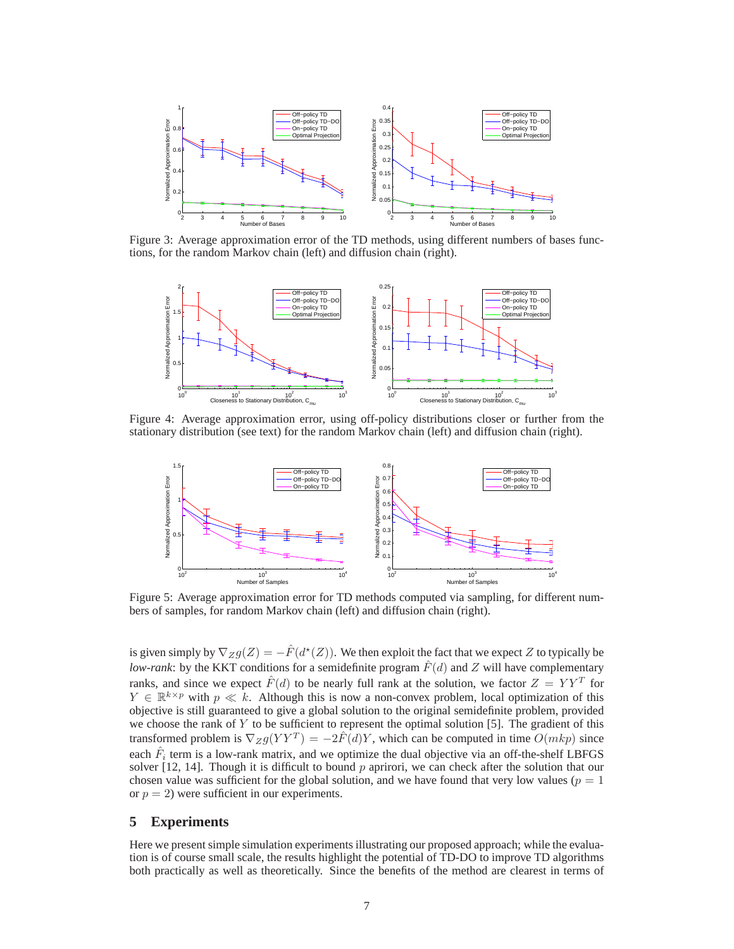

Figure 3: Average approximation error of the TD methods, using different numbers of bases functions, for the random Markov chain (left) and diffusion chain (right).



Figure 4: Average approximation error, using off-policy distributions closer or further from the stationary distribution (see text) for the random Markov chain (left) and diffusion chain (right).



Figure 5: Average approximation error for TD methods computed via sampling, for different numbers of samples, for random Markov chain (left) and diffusion chain (right).

is given simply by  $\nabla_Z g(Z) = -\hat{F}(d^*(Z))$ . We then exploit the fact that we expect Z to typically be *low-rank*: by the KKT conditions for a semidefinite program  $\hat{F}(d)$  and Z will have complementary ranks, and since we expect  $\hat{F}(d)$  to be nearly full rank at the solution, we factor  $Z = YY^{T}$  for  $Y \in \mathbb{R}^{k \times p}$  with  $p \ll k$ . Although this is now a non-convex problem, local optimization of this objective is still guaranteed to give a global solution to the original semidefinite problem, provided we choose the rank of  $Y$  to be sufficient to represent the optimal solution [5]. The gradient of this transformed problem is  $\nabla_Z g(YY^T) = -2\hat{F}(d)Y$ , which can be computed in time  $O(mkp)$  since each  $\hat{F}_i$  term is a low-rank matrix, and we optimize the dual objective via an off-the-shelf LBFGS solver  $[12, 14]$ . Though it is difficult to bound p aprirori, we can check after the solution that our chosen value was sufficient for the global solution, and we have found that very low values ( $p = 1$ ) or  $p = 2$ ) were sufficient in our experiments.

## **5 Experiments**

Here we present simple simulation experiments illustrating our proposed approach; while the evaluation is of course small scale, the results highlight the potential of TD-DO to improve TD algorithms both practically as well as theoretically. Since the benefits of the method are clearest in terms of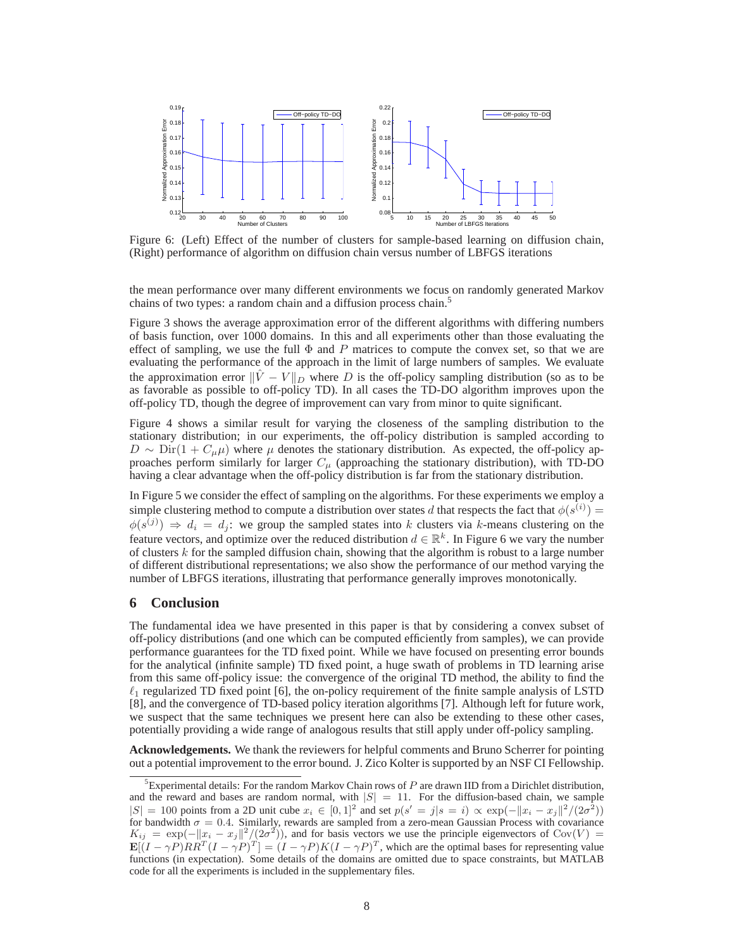

Figure 6: (Left) Effect of the number of clusters for sample-based learning on diffusion chain, (Right) performance of algorithm on diffusion chain versus number of LBFGS iterations

the mean performance over many different environments we focus on randomly generated Markov chains of two types: a random chain and a diffusion process chain.<sup>5</sup>

Figure 3 shows the average approximation error of the different algorithms with differing numbers of basis function, over 1000 domains. In this and all experiments other than those evaluating the effect of sampling, we use the full  $\Phi$  and P matrices to compute the convex set, so that we are evaluating the performance of the approach in the limit of large numbers of samples. We evaluate the approximation error  $\|\tilde{V} - V\|_{D}$  where D is the off-policy sampling distribution (so as to be as favorable as possible to off-policy TD). In all cases the TD-DO algorithm improves upon the off-policy TD, though the degree of improvement can vary from minor to quite significant.

Figure 4 shows a similar result for varying the closeness of the sampling distribution to the stationary distribution; in our experiments, the off-policy distribution is sampled according to  $D \sim \text{Dir}(1 + C_{\mu}\mu)$  where  $\mu$  denotes the stationary distribution. As expected, the off-policy approaches perform similarly for larger  $C_{\mu}$  (approaching the stationary distribution), with TD-DO having a clear advantage when the off-policy distribution is far from the stationary distribution.

In Figure 5 we consider the effect of sampling on the algorithms. For these experiments we employ a simple clustering method to compute a distribution over states d that respects the fact that  $\phi(s^{(i)}) =$  $\phi(s^{(j)}) \Rightarrow d_i = d_j$ : we group the sampled states into k clusters via k-means clustering on the feature vectors, and optimize over the reduced distribution  $d \in \mathbb{R}^k$ . In Figure 6 we vary the number of clusters  $k$  for the sampled diffusion chain, showing that the algorithm is robust to a large number of different distributional representations; we also show the performance of our method varying the number of LBFGS iterations, illustrating that performance generally improves monotonically.

## **6 Conclusion**

The fundamental idea we have presented in this paper is that by considering a convex subset of off-policy distributions (and one which can be computed efficiently from samples), we can provide performance guarantees for the TD fixed point. While we have focused on presenting error bounds for the analytical (infinite sample) TD fixed point, a huge swath of problems in TD learning arise from this same off-policy issue: the convergence of the original TD method, the ability to find the  $\ell_1$  regularized TD fixed point [6], the on-policy requirement of the finite sample analysis of LSTD [8], and the convergence of TD-based policy iteration algorithms [7]. Although left for future work, we suspect that the same techniques we present here can also be extending to these other cases, potentially providing a wide range of analogous results that still apply under off-policy sampling.

**Acknowledgements.** We thank the reviewers for helpful comments and Bruno Scherrer for pointing out a potential improvement to the error bound. J. Zico Kolter is supported by an NSF CI Fellowship.

<sup>&</sup>lt;sup>5</sup>Experimental details: For the random Markov Chain rows of  $P$  are drawn IID from a Dirichlet distribution, and the reward and bases are random normal, with  $|S| = 11$ . For the diffusion-based chain, we sample  $|S| = 100$  points from a 2D unit cube  $x_i \in [0, 1]^2$  and set  $p(s' = j | s = i) \propto \exp(-||x_i - x_j||^2 / (2\sigma^2))$ for bandwidth  $\sigma = 0.4$ . Similarly, rewards are sampled from a zero-mean Gaussian Process with covariance  $K_{ij} = \exp(-||x_i - x_j||^2/(2\sigma^2))$ , and for basis vectors we use the principle eigenvectors of Cov(V) =  $\mathbf{E}[(I - \gamma P)RR^T(I - \gamma P)^T] = (I - \gamma P)K(I - \gamma P)^T$ , which are the optimal bases for representing value functions (in expectation). Some details of the domains are omitted due to space constraints, but MATLAB code for all the experiments is included in the supplementary files.